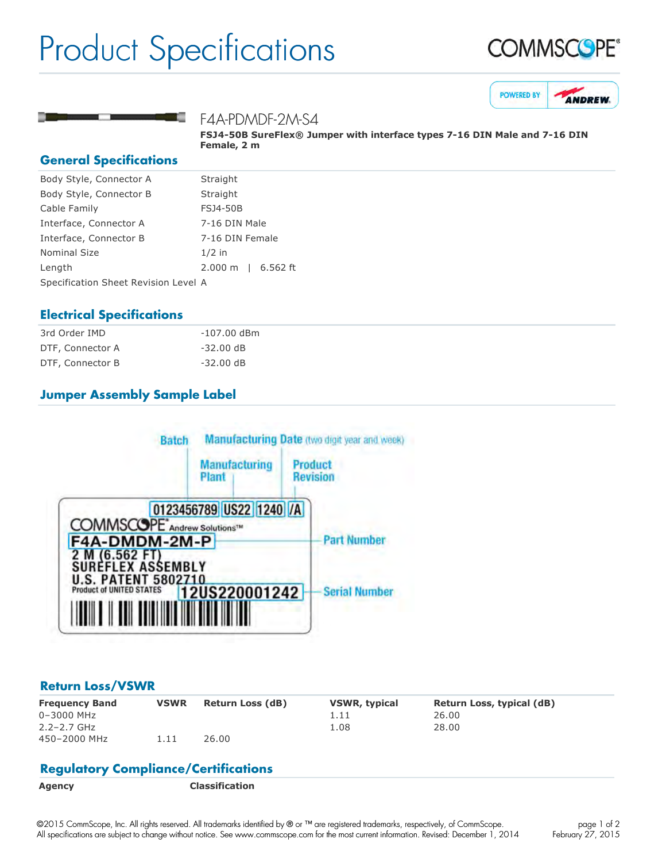# Product Specifications







### F4A-PDMDF-2M-S4

**FSJ450B SureFlex® Jumper with interface types 716 DIN Male and 716 DIN Female, 2 m**

#### **General Specifications**

| Body Style, Connector A              | Straight                      |  |  |
|--------------------------------------|-------------------------------|--|--|
| Body Style, Connector B              | Straight                      |  |  |
| Cable Family                         | <b>FSJ4-50B</b>               |  |  |
| Interface, Connector A               | 7-16 DIN Male                 |  |  |
| Interface, Connector B               | 7-16 DIN Female               |  |  |
| <b>Nominal Size</b>                  | $1/2$ in                      |  |  |
| Length                               | $2.000 \text{ m}$<br>6.562 ft |  |  |
| Specification Sheet Revision Level A |                               |  |  |

# **Electrical Specifications**

| 3rd Order IMD    | -107.00 dBm |
|------------------|-------------|
| DTF, Connector A | $-32.00$ dB |
| DTF, Connector B | $-32.00$ dB |

# **Jumper Assembly Sample Label**



### **Return Loss/VSWR**

| <b>Frequency Band</b> | <b>VSWR</b> | <b>Return Loss (dB)</b> | <b>VSWR, typical</b> | Return Loss, typical (dB) |
|-----------------------|-------------|-------------------------|----------------------|---------------------------|
| $0 - 3000$ MHz        |             |                         | 1.11                 | 26.00                     |
| $2.2 - 2.7$ GHz       |             |                         | 1.08                 | 28.00                     |
| 450-2000 MHz          | 1.11        | 26.00                   |                      |                           |

# **Regulatory Compliance/Certifications**

**Agency Classification**